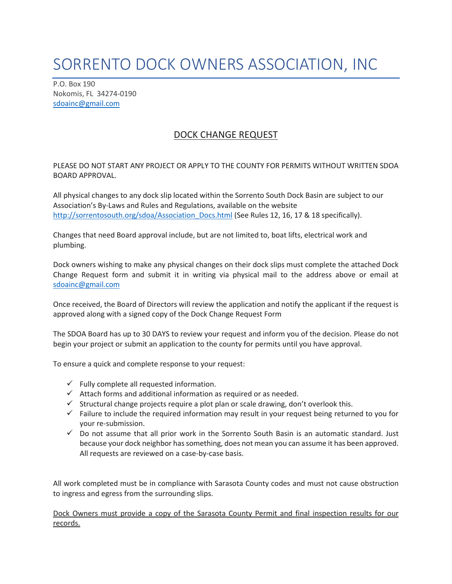## SORRENTO DOCK OWNERS ASSOCIATION, INC

P.O. Box 190 Nokomis, FL 34274-0190 [sdoainc@gmail.com](mailto:sdoainc@gmail.com)

## DOCK CHANGE REQUEST

PLEASE DO NOT START ANY PROJECT OR APPLY TO THE COUNTY FOR PERMITS WITHOUT WRITTEN SDOA BOARD APPROVAL.

All physical changes to any dock slip located within the Sorrento South Dock Basin are subject to our Association's By-Laws and Rules and Regulations, available on the website [http://sorrentosouth.org/sdoa/Association\\_Docs.html](http://sorrentosouth.org/sdoa/Association_Docs.html) (See Rules 12, 16, 17 & 18 specifically).

Changes that need Board approval include, but are not limited to, boat lifts, electrical work and plumbing.

Dock owners wishing to make any physical changes on their dock slips must complete the attached Dock Change Request form and submit it in writing via physical mail to the address above or email at [sdoainc@gmail.com](mailto:sdoainc@gmail.com)

Once received, the Board of Directors will review the application and notify the applicant if the request is approved along with a signed copy of the Dock Change Request Form

The SDOA Board has up to 30 DAYS to review your request and inform you of the decision. Please do not begin your project or submit an application to the county for permits until you have approval.

To ensure a quick and complete response to your request:

- $\checkmark$  Fully complete all requested information.
- $\checkmark$  Attach forms and additional information as required or as needed.
- $\checkmark$  Structural change projects require a plot plan or scale drawing, don't overlook this.
- $\checkmark$  Failure to include the required information may result in your request being returned to you for your re-submission.
- $\checkmark$  Do not assume that all prior work in the Sorrento South Basin is an automatic standard. Just because your dock neighbor has something, does not mean you can assume it has been approved. All requests are reviewed on a case-by-case basis.

All work completed must be in compliance with Sarasota County codes and must not cause obstruction to ingress and egress from the surrounding slips.

Dock Owners must provide a copy of the Sarasota County Permit and final inspection results for our records.